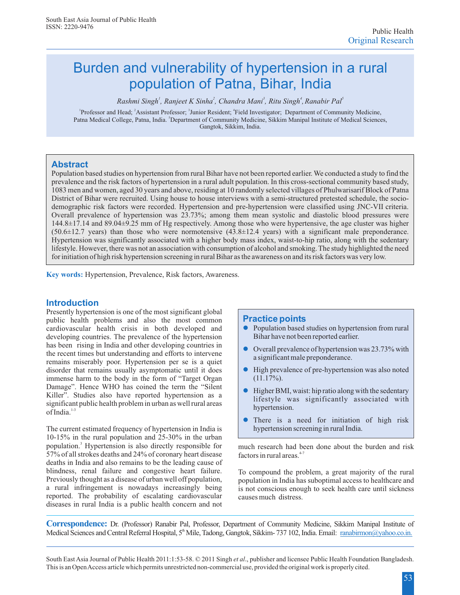# Burden and vulnerability of hypertension in a rural population of Patna, Bihar, India

*1 2 <sup>3</sup> 4 5 Rashmi Singh , Ranjeet K Sinha , Chandra Mani , Ritu Singh ,Ranabir Pal*

<sup>1</sup> Professor and Head; <sup>2</sup> Assistant Professor; <sup>3</sup> Junior Resident; <sup>4</sup>Field Investigator; Department of Community Medicine, Patna Medical College, Patna, India. <sup>5</sup>Department of Community Medicine, Sikkim Manipal Institute of Medical Sciences, Gangtok, Sikkim, India.

### **Abstract**

Population based studies on hypertension from rural Bihar have not been reported earlier. We conducted a study to find the prevalence and the risk factors of hypertension in a rural adult population. In this cross-sectional community based study, 1083 men and women, aged 30 years and above, residing at 10 randomly selected villages of Phulwarisarif Block of Patna District of Bihar were recruited. Using house to house interviews with a semi-structured pretested schedule, the sociodemographic risk factors were recorded. Hypertension and pre-hypertension were classified using JNC-VII criteria. Overall prevalence of hypertension was 23.73%; among them mean systolic and diastolic blood pressures were 144.8±17.14 and 89.04±9.25 mm of Hg respectively. Among those who were hypertensive, the age cluster was higher  $(50.6±12.7 \text{ years})$  than those who were normotensive  $(43.8±12.4 \text{ years})$  with a significant male preponderance. Hypertension was significantly associated with a higher body mass index, waist-to-hip ratio, along with the sedentary lifestyle. However, there was not an association with consumption of alcohol and smoking. The study highlighted the need for initiation of high risk hypertension screening in rural Bihar as the awareness on and its risk factors was very low.

**Key words:** Hypertension, Prevalence, Risk factors, Awareness.

### **Introduction**

Presently hypertension is one of the most significant global public health problems and also the most common cardiovascular health crisis in both developed and developing countries. The prevalence of the hypertension has been rising in India and other developing countries in the recent times but understanding and efforts to intervene remains miserably poor. Hypertension per se is a quiet disorder that remains usually asymptomatic until it does immense harm to the body in the form of "Target Organ Damage". Hence WHO has coined the term the "Silent Killer". Studies also have reported hypertension as a significant public health problem in urban as well rural areas of India.<sup>1-3</sup>

The current estimated frequency of hypertension in India is 10-15% in the rural population and 25-30% in the urban population.<sup>3</sup> Hypertension is also directly responsible for 57% of all strokes deaths and 24% of coronary heart disease deaths in India and also remains to be the leading cause of blindness, renal failure and congestive heart failure. To compound the problem, a great majority of the rural Previously thought as a disease of urban well off population, population in India has subortimal access to healt a rural infringement is nowadays increasingly being is not conscious enough to seek health care until sickness reported. The probability of escalating cardiovascular causes much distress. diseases in rural India is a public health concern and not

### **Practice points**

- Population based studies on hypertension from rural Bihar have not been reported earlier.
- Overall prevalence of hypertension was 23.73% with a significant male preponderance.
- l High prevalence of pre-hypertension was also noted  $(11.17\%)$ .
- l Higher BMI, waist: hip ratio along with the sedentary lifestyle was significantly associated with hypertension.
- $\bullet$ There is a need for initiation of high risk hypertension screening in rural India.

much research had been done about the burden and risk factors in rural areas.<sup>4-7</sup>

population in India has suboptimal access to healthcare and

**Correspondence:** Dr. (Professor) Ranabir Pal, Professor, Department of Community Medicine, Sikkim Manipal Institute of Medical Sciences and Central Referral Hospital, 5<sup>th</sup> Mile, Tadong, Gangtok, Sikkim- 737 102, India. Email: ranabirmon@yahoo.co.in.

South East Asia Journal of Public Health 2011:1:53-58. © 2011 Singh *et al*., publisher and licensee Public Health Foundation Bangladesh. This is an Open Access article which permits unrestricted non-commercial use, provided the original work is properly cited.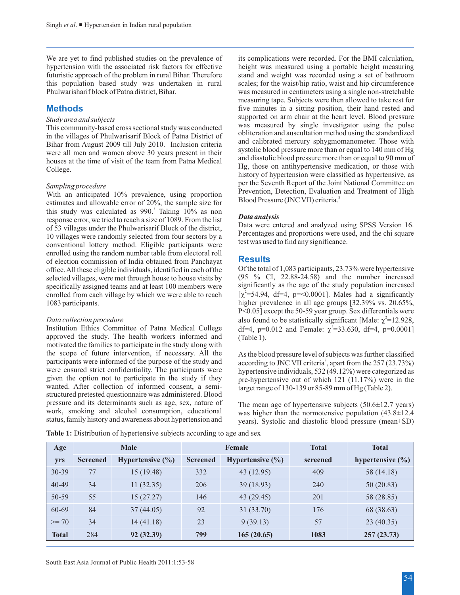We are yet to find published studies on the prevalence of its complications were recorded. For the BMI calculation, hypertension with the associated risk factors for effective height was measured using a portable height measuring futuristic approach of the problem in rural Bihar. Therefore stand and weight was recorded using a set of bathroom this population based study was undertaken in rural scales; for the waist/hip ratio, waist and hip circumference<br>Phulwarisharif block of Patna district, Bihar. was measured in centimeters using a single non-stretchable

# **Methods**

This community-based cross sectional study was conducted<br>This measured by single investigator using the pulse<br>in the villages of Phylygricarif Block of Patric District of bliteration and auscultation method using the stand in the villages of Phulwarisarif Block of Patna District of <sup>obliteration</sup> and auscultation method using the standardized<br>Bihar from August 2000 till July 2010, Inclusion criteria and calibrated mercury sphygmomanometer. T Bihar from August 2009 till July 2010. Inclusion criteria and calibrated mercury sphygmomanometer. Those with Bihar systolic blood pressure more than or equal to 140 mm of Hg were all men and women above 30 years present in their systolic blood pressure more than or equal to 140 mm of Hg<br>houses at the time of visit of the team from Petre Medical and diastolic blood pressure more than or equal t houses at the time of visit of the team from Patna Medical Hg, those on antihypertensive medication, or those with College.

With an anticipated 10% prevalence, using proportion and Trevention, Detection, Evaluation estimates and allowable error of 20%, the sample size for Blood Pressure (JNC VII) criteria.<sup>8</sup> this study was calculated as 990.<sup>3</sup> Taking 10% as non **EXECUTE:** THE TEXT THRIGHT THE RESPONSE EXPONSE THE RESPONSE EXPONSE TO THE RESPONSE TO THE LIST THANGED TO THE LIST THANGED THE RESPONSE TO THE LIST THANGED TO THE LIST THANGED THE LIST THANGED THE LIST THANGED THANGED T of 53 villages under the Phulwarisarif Block of the district,<br>
Data were entered and analyzed using SPSS Version 16.<br>
10 villages user and only selected from four sectors by a Percentages and proportions were used, and the Percentages and proportions were used, and the conventional latter were proportions were used, and the conventional latter were related. Eliable conventionate were rest was used to find any significance. conventional lottery method. Eligible participants were enrolled using the random number table from electoral roll of election commission of India obtained from Panchayat office. All these eligible individuals, identified in each of the Of the total of 1,083 participants,  $23.73\%$  were hypertensive selected villages, were met through house to house visits by (95 % CI, 22.88-24.58) and the number increased specifically assigned teams and at least 100 members were significantly as the age of the study population increa specifically assigned teams and at least 100 members were enrolled from each village by which we were able to reach 1083 participants. higher prevalence in all age groups [32.39% vs. 20.65%,

Institution Ethics Committee of Patna Medical College df=4, p=0.012 and Female: <sup>2</sup>=33.630, df=4, p=0.0001] approved the study. The health workers informed and (Table 1). motivated the families to participate in the study along with the scope of future intervention, if necessary. All the As the blood pressure level of subjects was further classified participants were informed of the purpose of the study and according to JNC VII criteria<sup>8</sup>, apart from participants were informed of the purpose of the study and according to JNC VII criteria<sup>8</sup>, apart from the 257 (23.73%) were ensured strict confidentiality. The participants were  $\frac{1}{2}$  hypertensive individuals 532 (4 were ensured strict confidentiality. The participants were hypertensive individuals,  $532 (49.12%)$  were categorized as given the option not to participate in the study if they  $n_e$ -hypertensive out of which 121 (11.17%) we given the option not to participate in the study if they pre-hypertensive out of which 121 (11.17%) were in the wanted. After collection of informed consent, a semi-<br>target range of 130-139 or 85-89 mm of Hg (Table 2) structured pretested questionnaire was administered. Blood pressure and its determinants such as age, sex, nature of pressure and its determinants such as age, sex, nature of The mean age of hypertensive subjects (50.6 $\pm$ 12.7 years) work, smoking and alcohol consumption, educational was higher than the normotensive population (43.8 $\pm$ work, smoking and alcohol consumption, educational was higher than the normotensive population (43.8±12.4 status, family history and awareness about hypertension and vears). Systolic and diastolic blood pressure (mean+SD)

was measured in centimeters using a single non-stretchable. measuring tape. Subjects were then allowed to take rest for five minutes in a sitting position, their hand rested and Study area and subjects<br>This community based cross sectional study was eardwated was measured by single investigator using the pulse history of hypertension were classified as hypertensive, as per the Seventh Report of the Joint National Committee on *Sampling procedure*

### **Results**

 $\int_{0}^{2}$ =54.94, df=4, p=<0.0001]. Males had a significantly P<0.05] except the 50-59 year group. Sex differentials were Data collection procedure also found to be statistically significant [Male: <sup>2</sup>=12.928,

target range of 130-139 or 85-89 mm of Hg (Table 2).

years). Systolic and diastolic blood pressure (mean±SD)

| Age          | <b>Male</b>     |                      | Female          |                      | <b>Total</b> | <b>Total</b>         |
|--------------|-----------------|----------------------|-----------------|----------------------|--------------|----------------------|
| yrs          | <b>Screened</b> | Hypertensive $(\% )$ | <b>Screened</b> | Hypertensive $(\% )$ | screened     | hypertensive $(\% )$ |
| $30 - 39$    | 77              | 15(19.48)            | 332             | 43 (12.95)           | 409          | 58 (14.18)           |
| $40 - 49$    | 34              | 11(32.35)            | 206             | 39(18.93)            | 240          | 50(20.83)            |
| 50-59        | 55              | 15(27.27)            | 146             | 43 (29.45)           | 201          | 58 (28.85)           |
| 60-69        | 84              | 37(44.05)            | 92              | 31(33.70)            | 176          | 68 (38.63)           |
| $>= 70$      | 34              | 14(41.18)            | 23              | 9(39.13)             | 57           | 23(40.35)            |
| <b>Total</b> | 284             | 92 (32.39)           | 799             | 165(20.65)           | 1083         | 257(23.73)           |

Table 1: Distribution of hypertensive subjects according to age and sex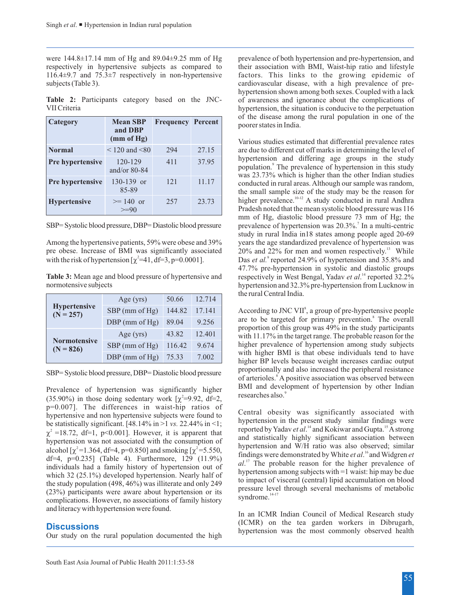were 144.8±17.14 mm of Hg and 89.04±9.25 mm of Hg prevalence of both hypertension and pre-hypertension, and respectively in hypertensive subjects as compared to their association with BMI, Waist-hip ratio and lifestyle 116.4±9.7 and 75.3±7 respectively in non-hypertensive factors. This links to the growing epidemic of subjects (Table 3). cardiovascular disease, with a high prevalence of pre-

| Category                | <b>Mean SBP</b><br>and DBP<br>(mm of Hg) | <b>Frequency Percent</b> |       |
|-------------------------|------------------------------------------|--------------------------|-------|
| <b>Normal</b>           | $< 120$ and $< 80$                       | 294                      | 27.15 |
| Pre hypertensive        | 120-129<br>and/or $80-84$                | 411                      | 37.95 |
| <b>Pre</b> hypertensive | $130-139$ or<br>85-89                    | 121                      | 11.17 |
| <b>Hypertensive</b>     | $>= 140$ or<br>$>=90$                    | 257                      | 23.73 |

pre obese. Increase of BMI was significantly associated 20% and 22% for men and women respectively.<sup>13</sup> While with the risk of hypertension  $\int_{0}^{2}$  =41, df =3, p=0.0001]. Das *et al.* reported 24.9% of hypertension and

normotensive subjects hypertension and 32.3% pre-hypertension from Lucknow in

|                                    | Age $(yrs)$         | 50.66  | 12.714 |
|------------------------------------|---------------------|--------|--------|
| <b>Hypertensive</b><br>$(N = 257)$ | $SBP$ (mm of Hg)    | 144.82 | 17.141 |
|                                    | $DBP$ (mm of $Hg$ ) | 89.04  | 9.256  |
|                                    | Age $(yrs)$         | 43.82  | 12.401 |
| <b>Normotensive</b><br>$(N = 826)$ | SBP (mm of Hg)      | 116.42 | 9.674  |
|                                    | $DBP$ (mm of $Hg$ ) | 75.33  | 7.002  |

(35.90%) in those doing sedentary work  $\left[ \right.$  <sup>2</sup>=9.92, df=2, p=0.007]. The differences in waist-hip ratios of by example interesting the value in the research of the statistically significant and non hypertensive subjects were found to<br>be statistically significant. [48.14% in >1 vs. 22.44% in <1;<br> $\frac{1}{2}$  -18.72 df-1 non-0.0011 <sup>2</sup>=18.72, df=1, p<0.001]. However, it is apparent that<br>hypertension was not associated with the consumption of<br>alcohol  $\int_0^2$ =1.364, df=4, p=0.850] and smoking  $\int_0^2$ =5.550,<br>finding was denomined by WH ratio was also alcohol  $\begin{bmatrix} 2=1.364, df=4, p=0.850 \end{bmatrix}$  and smoking  $\begin{bmatrix} 2=5.550, df=4, p=0.850 \end{bmatrix}$  and smoking  $\begin{bmatrix} 2=5.550, df=4, p=0.850 \end{bmatrix}$  and smoking  $\begin{bmatrix} 2=1.364, df=4, p=0.850 \end{bmatrix}$  and smoking  $\begin{bmatrix} 2=1.364, df=4,$ and literacy with hypertension were found.

# **Discussions**

**EXECUSSIONS**<br>Our study on the rural population documented the high hypertension was the most commonly observed health

hypertension shown among both sexes. Coupled with a lack **Table 2:** Participants category based on the JNC- of awareness and ignorance about the complications of VII Criteria hypertension, the situation is conducive to the perpetuation of the disease among the rural population in one of the poorer states in India.

Various studies estimated that differential prevalence rates are due to different cut off marks in determining the level of hypertension and differing age groups in the study population.<sup>9</sup> The prevalence of hypertension in this study was 23.73% which is higher than the other Indian studies conducted in rural areas. Although our sample was random, the small sample size of the study may be the reason for higher prevalence.<sup>10-12</sup> A study conducted in rural Andhra Pradesh noted that the mean systolic blood pressure was 116 mm of Hg, diastolic blood pressure 73 mm of Hg; the <sup>7</sup> SBP= Systolic blood pressure, DBP= Diastolic blood pressure prevalence of hypertension was 20.3%. In a multi-centric study in rural India in18 states among people aged 20-69 Among the hypertensive patients, 59% were obese and 39% years the age standardized prevalence of hypertension was pre obese. Increase of BMI was significantly associated 20% and 22% for men and women respectively.<sup>13</sup> Whil Das et al.<sup>9</sup> reported 24.9% of hypertension and 35.8% and 47.7% pre-hypertension in systolic and diastolic groups Table 3: Mean age and blood pressure of hypertensive and respectively in West Bengal, Yadav *et al.*<sup>14</sup> reported 32.2% the rural Central India.

According to JNC VII<sup>8</sup>, a group of pre-hypertensive people are to be targeted for primary prevention.<sup>8</sup> The overall proportion of this group was 49% in the study participants with 11.17% in the target range. The probable reason for the higher prevalence of hypertension among study subjects with higher BMI is that obese individuals tend to have higher BP levels because weight increases cardiac output proportionally and also increased the peripheral resistance SBP= Systolic blood pressure, DBP= Diastolic blood pressure <sup>8</sup> of arterioles. A positive association was observed between Prevalence of hypertension was significantly higher  $\frac{BMI}{R}$  and development of hypertension by other Indian (25,000) is the value of hypertension was significantly higher  $\frac{BMI}{R}$  and development of hypertension by o

In an ICMR Indian Council of Medical Research study (ICMR) on the tea garden workers in Dibrugarh,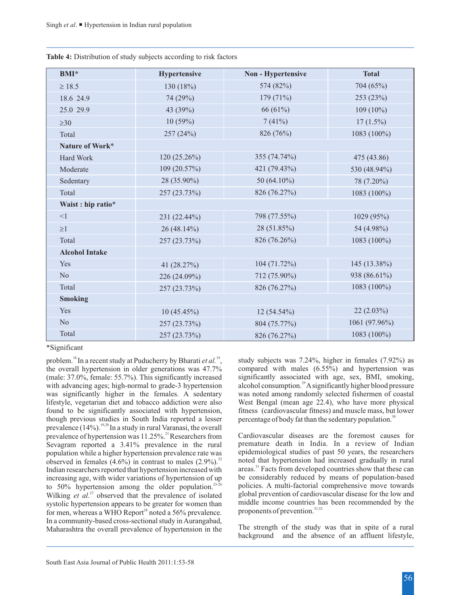| <b>BMI*</b>           | <b>Hypertensive</b> | <b>Non - Hypertensive</b> | <b>Total</b>  |
|-----------------------|---------------------|---------------------------|---------------|
| 18.5                  | 130 (18%)           | 574 (82%)                 | 704 (65%)     |
| 18.6 24.9             | 74 (29%)            | 179(71%)                  | 253 (23%)     |
| 25.0 29.9             | 43 (39%)            | 66 (61%)                  | $109(10\%)$   |
| 30                    | 10(59%)             | 7(41%)                    | $17(1.5\%)$   |
| Total                 | 257 (24%)           | 826 (76%)                 | 1083 (100%)   |
| Nature of Work*       |                     |                           |               |
| Hard Work             | $120(25.26\%)$      | 355 (74.74%)              | 475 (43.86)   |
| Moderate              | 109(20.57%)         | 421 (79.43%)              | 530 (48.94%)  |
| Sedentary             | 28 (35.90%)         | 50 (64.10%)               | 78 (7.20%)    |
| Total                 | 257 (23.73%)        | 826 (76.27%)              | 1083 (100%)   |
| Waist : hip ratio*    |                     |                           |               |
| $\leq$ 1              | 231 (22.44%)        | 798 (77.55%)              | 1029 (95%)    |
| $\mathbf{1}$          | $26(48.14\%)$       | 28 (51.85%)               | 54 (4.98%)    |
| Total                 | 257 (23.73%)        | 826 (76.26%)              | 1083 (100%)   |
| <b>Alcohol Intake</b> |                     |                           |               |
| Yes                   | 41 (28.27%)         | 104(71.72%)               | 145 (13.38%)  |
| No                    | 226 (24.09%)        | 712 (75.90%)              | 938 (86.61%)  |
| Total                 | 257 (23.73%)        | 826 (76.27%)              | 1083 (100%)   |
| <b>Smoking</b>        |                     |                           |               |
| Yes                   | $10(45.45\%)$       | 12 (54.54%)               | $22(2.03\%)$  |
| N <sub>o</sub>        | 257 (23.73%)        | 804 (75.77%)              | 1061 (97.96%) |
| Total                 | 257 (23.73%)        | 826 (76.27%)              | 1083 (100%)   |

**Table 4:** Distribution of study subjects according to risk factors

\*Significant

the overall hypertension in older generations was 47.7% compared with males (6.55%) and hypertension was (male: 37.0% female: 55.7%). This significantly increased significantly associated with age, sex, BMI, smoking, (male: 37.0%, female: 55.7%). This significantly increased with advancing ages; high-normal to grade-3 hypertension was significantly higher in the females. A sedentary was noted among randomly selected fishermen of coastal lifestyle, vegetarian diet and tobacco addiction were also West Bengal (mean age 22.4), who have more physical found to be significantly associated with hypertension, fitness (cardiovascular fitness) and muscle mass, but lower though previous studies in South India reported a lesser percentage of body fat than the sedentary population.<sup>30</sup> prevalence  $(14\%)$ . <sup>19,20</sup> In a study in rural Varanasi, the overall prevalence of hypertension was 11.25%.<sup>21</sup> Researchers from Cardiovascular diseases are the foremost causes for Sevagram reported a 3.41% prevalence in the rural premature death in India. In a review of Indian Sevagram reported a 3.41% prevalence in the rural premature death in India. In a review of Indian population while a higher hypertension prevalence rate was epidemiological studies of past 50 years, the researchers population while a higher hypertension prevalence rate was bbserved in females (4.6%) in contrast to males  $(2.9\%)$ .<sup>22</sup> noted that hypertension had increased gradually in rural Indian researchers reported that hypertension increased with areas.<sup>31</sup> Facts from developed countries Indian researchers reported that hypertension increased with areas.<sup>31</sup> Facts from developed countries show that these can increasing age, with wider variations of hypertension of up be considerably reduced by means of pop increasing age, with wider variations of hypertension of up be considerably reduced by means of population-based<br>to 50% hypertension among the older population.<sup>23-26</sup> policies. A multi-factorial comprehensive move toward 23-26 policies. A multi-factorial comprehensive move towards wilking *et al.*<sup>27</sup> observed that the prevalence of isolated global prevention of cardiovascular disease for the low and Wilking *et al.*<sup>27</sup> observed that the prevalence of isolated global prevention of cardiovascular disease for the low and systolic hypertension appears to be greater for women than middle income countries has been recommen systolic hypertension appears to be greater for women than middle income countries has for men, whereas a WHO Report<sup>28</sup> noted a 56% prevalence. for men, whereas a WHO Report<sup>28</sup> noted a 56% prevalence. In a community-based cross-sectional study in Aurangabad, Maharashtra the overall prevalence of hypertension in the The strength of the study was that in spite of a rural

problem.<sup>18</sup> In a recent study at Puducherry by Bharati *et al.* <sup>19</sup>, study subjects was 7.24%, higher in females (7.92%) as alcohol consumption.<sup>29</sup> A significantly higher blood pressure

background and the absence of an affluent lifestyle,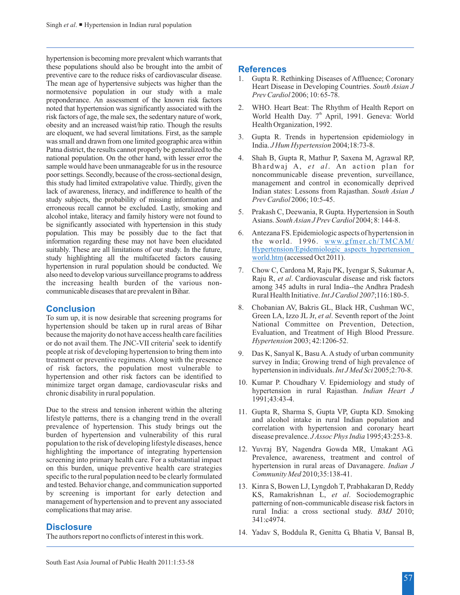hypertension is becoming more prevalent which warrants that these populations should also be brought into the ambit of preventive care to the reduce risks of cardiovascular disease.<br>
The mean age of hypertensive subjects was higher than the<br>
normotensive population in our study with a male<br>
preponderance. An assessment of the known risk fa noted that hypertension was significantly associated with the risk factors of age, the male sex, the sedentary nature of work, World Health Day.  $7^{\text{th}}$  April, 1991. Geneva: World obesity and an increased waist/hip ratio. Though the results Health Organization, 1992. obesity and an increased waist/hip ratio. Though the results are eloquent, we had several limitations. First, as the sample  $\frac{3.6 \text{ m}}{1.4 \text{ m} \cdot \text{m}}$  Gupta R. Trends in hypertension epidemiology in was small and drawn from one limited geographic area within was small and drawn from one limited geographic area within India. *J Hum Hypertension* 2004;18:73-8.<br>Patna district, the results cannot properly be generalized to the national population. On the other hand, with lesser error the 4. Shah B, Gupta R, Mathur P, Saxena M, Agrawal RP, sample would have been unmanageable for us in the resource Bhardwaj A, *et al*. An action plan for poor settings. Secondly, because of the cross-sectional design, noncommunicable disease prevention, surveillance, this study had limited extrapolative value. Thirdly, given the management and control in economically deprived lack of awareness, literacy, and indifference to health of the Indian states: Lessons from Rajasthan. *South Asian J study subjects*, the probability of missing information and *Prev Cardiol* 2006; 10:5-45. study subjects, the probability of missing information and erroneous recall cannot be excluded. Lastly, smoking and<br>alcohol intake, literacy and family history were not found to<br>be significantly associated with hypertension in this study<br>Asians. South Asian J Prev Cardiol 2004; 8: population. This may be possibly due to the fact that 6. Antezana FS. Epidemiologic aspects of hypertension in information regarding these may not have been elucidated suitably. These are all limitations of our study. In the future, study highlighting all the multifaceted factors causing hypertension in rural population should be conducted. We Experiension in tutal population should be conducted. We<br>also need to develop various surveillance programs to address<br>the increasing health burden of the various non-<br>communicable diseases that are prevalent in Bihar.<br>The

# **Conclusion**

hypertension should be taken up in rural areas of Bihar National Committee on Prevention, Detection, hecause the majority do not have access health care facilities Evaluation, and Treatment of High Blood Pressure. because the majority do not have access health care facilities Evaluation, and Treatment of Ford a pot avail them. The INC VII criteria's seek to identify Hypertension 2003; 42:1206-52. or do not avail them. The JNC-VII criteria<sup>8</sup> seek to identify people at risk of developing hypertension to bring them into 9. Das K, Sanyal K, Basu A. A study of urban community treatment or preventive regimens. Along with the presence survey in India: Growing trend of high prevalenc of risk factors, the population most vulnerable to hypertension in individuals. *Int J Med Sci* 2005;2:70-8. hypertension and other risk factors can be identified to minimize target organ damage, cardiovascular risks and <sup>10</sup>. Kumar P. Choudhary V. Epidemiology and study of hypertension in rural Rajasthan. *Indian Heart J* chronic disability in rural population.

Due to the stress and tension inherent within the altering 11. Gupta R, Sharma S, Gupta VP, Gupta KD. Smoking lifestyle patterns, there is a changing trend in the overall and alcohol intake in rural Indian population and burden of hypertension and vulnerability of this rural disease prevalence. *J Assoc Phys India* 1995;43:253-8. population to the risk of developing lifestyle diseases, hence highlighting the importance of integrating hypertension and Euclidean MR, Umakant AG. https://www.phealth.care. For a substantial impact of the importance, awareness, treatment and control of screening into primary health care. For a substantial impact and prevalence, awareness, treatment and control of screening into preventive health care strategies hypertension in rural areas of Davanagere. *Indian J* on this burden, unique preventive health care strategies hypertension in rural areas of D<br>specific to the rural population need to be clearly formulated *Community Med* 2010;35:138-41. specific to the rural population need to be clearly formulated and tested. Behavior change, and communication supported 13. Kinra S, Bowen LJ, Lyngdoh T, Prabhakaran D, Reddy<br>by screening is important for early detection and KS Ramakrishnan L et al. Sociodemographic by screening is important for early detection and KS, Ramakrishnan L, *et al.* Sociodemographic management of hypertension and to prevent any associated patterning of non-communicable disease risk factors in management of hypertension and to prevent any associated patterning of non-communicable disease risk factors in<br>complications that may arise.

# **Disclosure**

# **References**

- 
- 
- 
- 
- 
- the world. 1996. www.gfmer.ch/TMCAM/ Hypertension/Epidemiologic\_aspects\_hypertension\_ world.htm (accessed Oct 2011).
- Rural Health Initiative. *Int J Cardiol 2007*;116:180-5.
- 8. Chobanian AV, Bakris GL, Black HR, Cushman WC, To sum up, it is now desirable that screening programs for Green LA, Izzo JL Jr, *et al*. Seventh report of the Joint by pertension should be taken up in rural areas of Bihar National Committee on Prevention, Detection,
	- survey in India; Growing trend of high prevalence of
	- 1991;43:43-4.
	- correlation with hypertension and coronary heart
	-
	- rural India: a cross sectional study. *BMJ* 2010; 341:c4974.
- 14. Yadav S, Boddula R, Genitta G, Bhatia V, Bansal B, The authors report no conflicts of interest in this work.